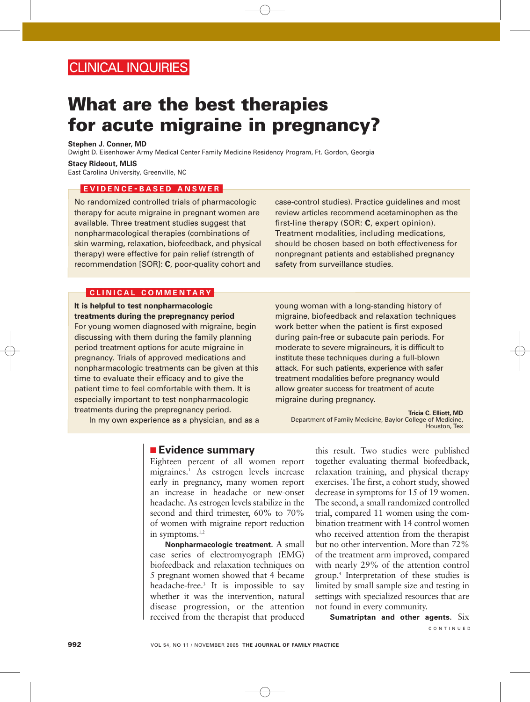# CLINICAL INQUIRIES

# **What are the best therapies for acute migraine in pregnancy?**

**Stephen J. Conner, MD**

Dwight D. Eisenhower Army Medical Center Family Medicine Residency Program, Ft. Gordon, Georgia

#### **Stacy Rideout, MLIS**

East Carolina University, Greenville, NC

#### **EVIDENCE - BASED ANSWER**

No randomized controlled trials of pharmacologic therapy for acute migraine in pregnant women are available. Three treatment studies suggest that nonpharmacological therapies (combinations of skin warming, relaxation, biofeedback, and physical therapy) were effective for pain relief (strength of recommendation [SOR]: **C**, poor-quality cohort and case-control studies). Practice guidelines and most review articles recommend acetaminophen as the first-line therapy (SOR: **C**, expert opinion). Treatment modalities, including medications, should be chosen based on both effectiveness for nonpregnant patients and established pregnancy safety from surveillance studies.

#### **CLINICAL COMMENTARY**

**It is helpful to test nonpharmacologic treatments during the prepregnancy period** For young women diagnosed with migraine, begin discussing with them during the family planning period treatment options for acute migraine in pregnancy. Trials of approved medications and nonpharmacologic treatments can be given at this time to evaluate their efficacy and to give the patient time to feel comfortable with them. It is especially important to test nonpharmacologic treatments during the prepregnancy period.

In my own experience as a physician, and as a

young woman with a long-standing history of migraine, biofeedback and relaxation techniques work better when the patient is first exposed during pain-free or subacute pain periods. For moderate to severe migraineurs, it is difficult to institute these techniques during a full-blown attack. For such patients, experience with safer treatment modalities before pregnancy would allow greater success for treatment of acute migraine during pregnancy.

**Tricia C. Elliott, MD** Department of Family Medicine, Baylor College of Medicine, Houston, Tex

## ■ **Evidence summary**

Eighteen percent of all women report migraines.1 As estrogen levels increase early in pregnancy, many women report an increase in headache or new-onset headache. As estrogen levels stabilize in the second and third trimester, 60% to 70% of women with migraine report reduction in symptoms. $1,2$ 

**Nonpharmacologic treatment.** A small case series of electromyograph (EMG) biofeedback and relaxation techniques on 5 pregnant women showed that 4 became headache-free.3 It is impossible to say whether it was the intervention, natural disease progression, or the attention received from the therapist that produced

this result. Two studies were published together evaluating thermal biofeedback, relaxation training, and physical therapy exercises. The first, a cohort study, showed decrease in symptoms for 15 of 19 women. The second, a small randomized controlled trial, compared 11 women using the combination treatment with 14 control women who received attention from the therapist but no other intervention. More than 72% of the treatment arm improved, compared with nearly 29% of the attention control group.4 Interpretation of these studies is limited by small sample size and testing in settings with specialized resources that are not found in every community.

**Sumatriptan and other agents.** Six CONTINUED

**992** VOL 54, NO 11 / NOVEMBER 2005 **THE JOURNAL OF FAMILY PRACTICE**